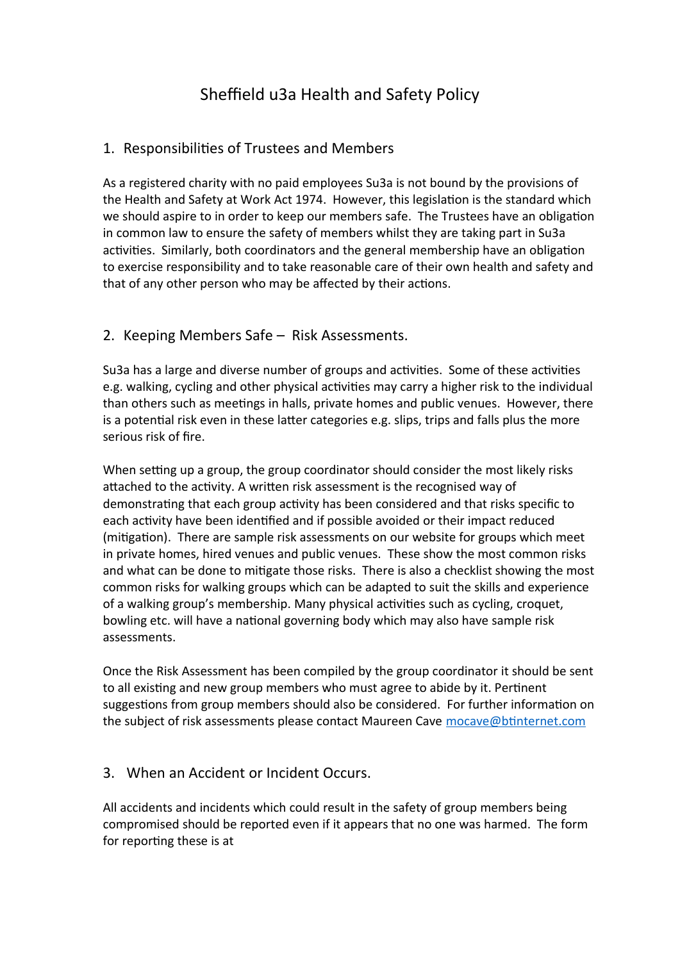# Sheffield u3a Health and Safety Policy

## 1. Responsibilities of Trustees and Members

As a registered charity with no paid employees Su3a is not bound by the provisions of the Health and Safety at Work Act 1974. However, this legislation is the standard which we should aspire to in order to keep our members safe. The Trustees have an obligation in common law to ensure the safety of members whilst they are taking part in Su3a activities. Similarly, both coordinators and the general membership have an obligation to exercise responsibility and to take reasonable care of their own health and safety and that of any other person who may be affected by their actions.

### 2. Keeping Members Safe – Risk Assessments.

Su3a has a large and diverse number of groups and activities. Some of these activities e.g. walking, cycling and other physical activities may carry a higher risk to the individual than others such as meetings in halls, private homes and public venues. However, there is a potential risk even in these latter categories e.g. slips, trips and falls plus the more serious risk of fire.

When setting up a group, the group coordinator should consider the most likely risks attached to the activity. A written risk assessment is the recognised way of demonstrating that each group activity has been considered and that risks specific to each activity have been identified and if possible avoided or their impact reduced (mitigation). There are sample risk assessments on our website for groups which meet in private homes, hired venues and public venues. These show the most common risks and what can be done to mitigate those risks. There is also a checklist showing the most common risks for walking groups which can be adapted to suit the skills and experience of a walking group's membership. Many physical activities such as cycling, croquet, bowling etc. will have a national governing body which may also have sample risk assessments.

Once the Risk Assessment has been compiled by the group coordinator it should be sent to all existing and new group members who must agree to abide by it. Pertinent suggestions from group members should also be considered. For further information on the subject of risk assessments please contact Maureen Cave [mocave@btinternet.com](mailto:mocave@btinternet.com)

### 3. When an Accident or Incident Occurs.

All accidents and incidents which could result in the safety of group members being compromised should be reported even if it appears that no one was harmed. The form for reporting these is at